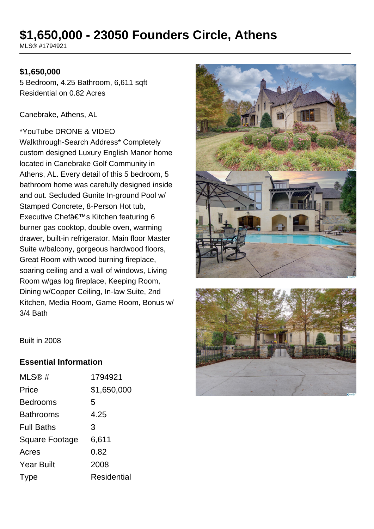## **\$1,650,000 - 23050 Founders Circle, Athens**

MLS® #1794921

### **\$1,650,000**

5 Bedroom, 4.25 Bathroom, 6,611 sqft Residential on 0.82 Acres

Canebrake, Athens, AL

\*YouTube DRONE & VIDEO Walkthrough-Search Address\* Completely custom designed Luxury English Manor home located in Canebrake Golf Community in Athens, AL. Every detail of this 5 bedroom, 5 bathroom home was carefully designed inside and out. Secluded Gunite In-ground Pool w/ Stamped Concrete, 8-Person Hot tub, Executive Chef's Kitchen featuring 6 burner gas cooktop, double oven, warming drawer, built-in refrigerator. Main floor Master Suite w/balcony, gorgeous hardwood floors, Great Room with wood burning fireplace, soaring ceiling and a wall of windows, Living Room w/gas log fireplace, Keeping Room, Dining w/Copper Ceiling, In-law Suite, 2nd Kitchen, Media Room, Game Room, Bonus w/ 3/4 Bath





Built in 2008

### **Essential Information**

| MLS@#                 | 1794921            |
|-----------------------|--------------------|
| Price                 | \$1,650,000        |
| <b>Bedrooms</b>       | 5                  |
| <b>Bathrooms</b>      | 4.25               |
| <b>Full Baths</b>     | 3                  |
| <b>Square Footage</b> | 6,611              |
| Acres                 | 0.82               |
| <b>Year Built</b>     | 2008               |
| Type                  | <b>Residential</b> |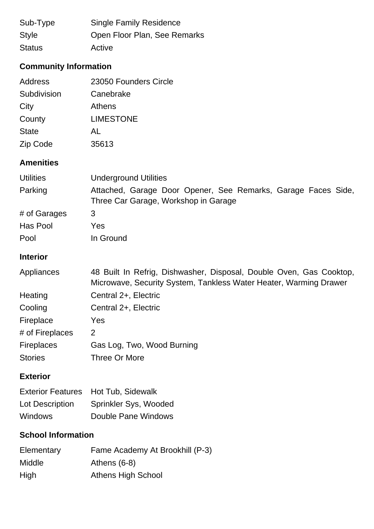| Sub-Type      | <b>Single Family Residence</b> |
|---------------|--------------------------------|
| <b>Style</b>  | Open Floor Plan, See Remarks   |
| <b>Status</b> | Active                         |

### **Community Information**

| Address      | 23050 Founders Circle |
|--------------|-----------------------|
| Subdivision  | Canebrake             |
| City         | Athens                |
| County       | <b>LIMESTONE</b>      |
| <b>State</b> | AL                    |
| Zip Code     | 35613                 |

### **Amenities**

| <b>Utilities</b> | <b>Underground Utilities</b>                                                                          |  |  |
|------------------|-------------------------------------------------------------------------------------------------------|--|--|
| Parking          | Attached, Garage Door Opener, See Remarks, Garage Faces Side,<br>Three Car Garage, Workshop in Garage |  |  |
| # of Garages     | 3                                                                                                     |  |  |
| Has Pool         | Yes                                                                                                   |  |  |
| Pool             | In Ground                                                                                             |  |  |

# **Interior**

### Appliances 48 Built In Refrig, Dishwasher, Disposal, Double Oven, Gas Cooktop, Microwave, Security System, Tankless Water Heater, Warming Drawer Heating Central 2+, Electric Cooling Central 2+, Electric Fireplace Yes # of Fireplaces 2 Fireplaces Gas Log, Two, Wood Burning Stories Three Or More

### **Exterior**

|                 | Exterior Features Hot Tub, Sidewalk |
|-----------------|-------------------------------------|
| Lot Description | Sprinkler Sys, Wooded               |
| <b>Windows</b>  | Double Pane Windows                 |

### **School Information**

| Elementary    | Fame Academy At Brookhill (P-3) |
|---------------|---------------------------------|
| <b>Middle</b> | Athens $(6-8)$                  |
| High          | Athens High School              |